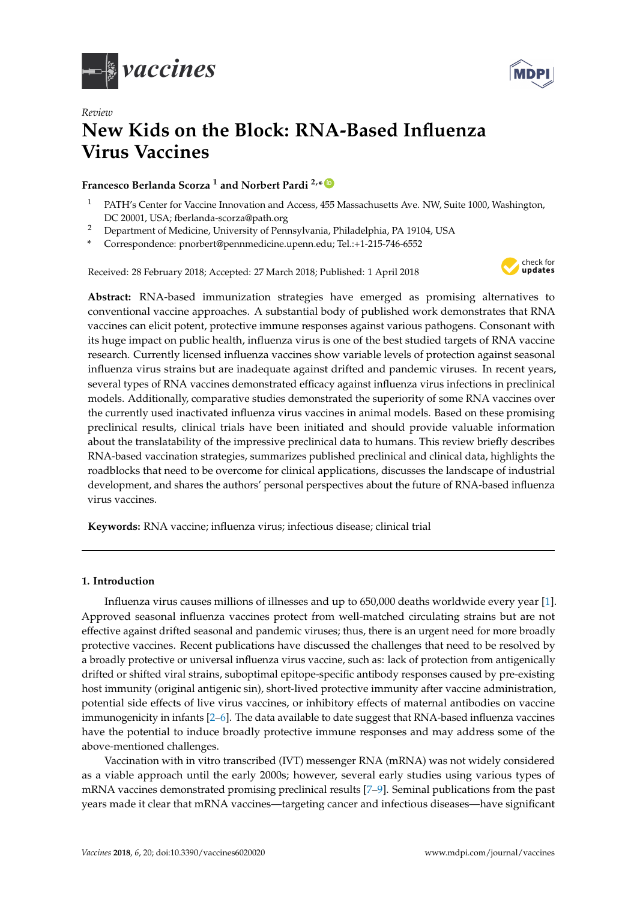

*Review*



# **New Kids on the Block: RNA-Based Influenza Virus Vaccines**

# **Francesco Berlanda Scorza <sup>1</sup> and Norbert Pardi 2,\* [ID](https://orcid.org/0000-0003-1008-6242)**

- <sup>1</sup> PATH's Center for Vaccine Innovation and Access, 455 Massachusetts Ave. NW, Suite 1000, Washington, DC 20001, USA; fberlanda-scorza@path.org
- <sup>2</sup> Department of Medicine, University of Pennsylvania, Philadelphia, PA 19104, USA
- **\*** Correspondence: pnorbert@pennmedicine.upenn.edu; Tel.:+1-215-746-6552

Received: 28 February 2018; Accepted: 27 March 2018; Published: 1 April 2018



**Abstract:** RNA-based immunization strategies have emerged as promising alternatives to conventional vaccine approaches. A substantial body of published work demonstrates that RNA vaccines can elicit potent, protective immune responses against various pathogens. Consonant with its huge impact on public health, influenza virus is one of the best studied targets of RNA vaccine research. Currently licensed influenza vaccines show variable levels of protection against seasonal influenza virus strains but are inadequate against drifted and pandemic viruses. In recent years, several types of RNA vaccines demonstrated efficacy against influenza virus infections in preclinical models. Additionally, comparative studies demonstrated the superiority of some RNA vaccines over the currently used inactivated influenza virus vaccines in animal models. Based on these promising preclinical results, clinical trials have been initiated and should provide valuable information about the translatability of the impressive preclinical data to humans. This review briefly describes RNA-based vaccination strategies, summarizes published preclinical and clinical data, highlights the roadblocks that need to be overcome for clinical applications, discusses the landscape of industrial development, and shares the authors' personal perspectives about the future of RNA-based influenza virus vaccines.

**Keywords:** RNA vaccine; influenza virus; infectious disease; clinical trial

## **1. Introduction**

Influenza virus causes millions of illnesses and up to 650,000 deaths worldwide every year [\[1\]](#page-10-0). Approved seasonal influenza vaccines protect from well-matched circulating strains but are not effective against drifted seasonal and pandemic viruses; thus, there is an urgent need for more broadly protective vaccines. Recent publications have discussed the challenges that need to be resolved by a broadly protective or universal influenza virus vaccine, such as: lack of protection from antigenically drifted or shifted viral strains, suboptimal epitope-specific antibody responses caused by pre-existing host immunity (original antigenic sin), short-lived protective immunity after vaccine administration, potential side effects of live virus vaccines, or inhibitory effects of maternal antibodies on vaccine immunogenicity in infants [\[2](#page-10-1)[–6\]](#page-11-0). The data available to date suggest that RNA-based influenza vaccines have the potential to induce broadly protective immune responses and may address some of the above-mentioned challenges.

Vaccination with in vitro transcribed (IVT) messenger RNA (mRNA) was not widely considered as a viable approach until the early 2000s; however, several early studies using various types of mRNA vaccines demonstrated promising preclinical results [\[7–](#page-11-1)[9\]](#page-11-2). Seminal publications from the past years made it clear that mRNA vaccines—targeting cancer and infectious diseases—have significant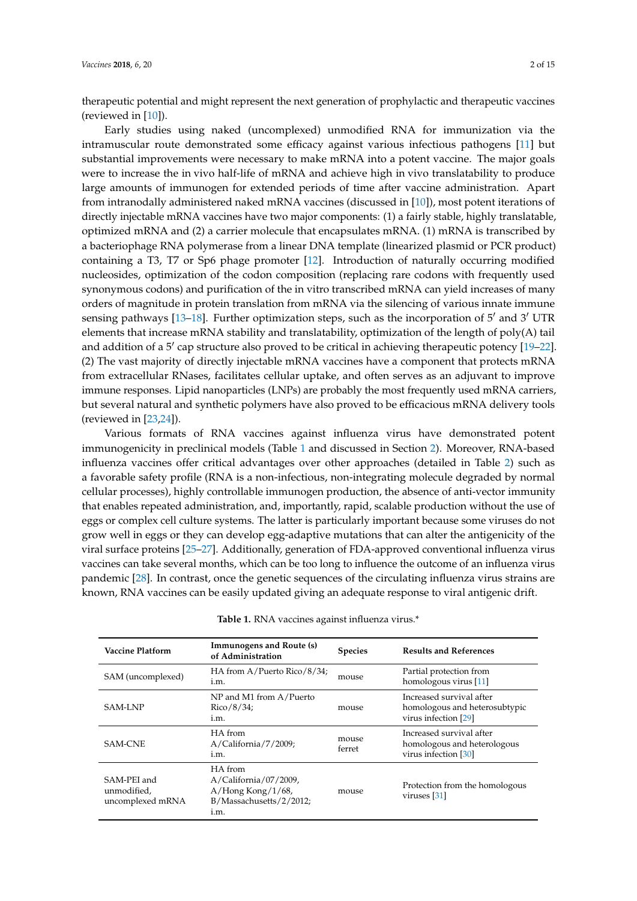therapeutic potential and might represent the next generation of prophylactic and therapeutic vaccines (reviewed in [\[10\]](#page-11-3)).

Early studies using naked (uncomplexed) unmodified RNA for immunization via the intramuscular route demonstrated some efficacy against various infectious pathogens [\[11\]](#page-11-4) but substantial improvements were necessary to make mRNA into a potent vaccine. The major goals were to increase the in vivo half-life of mRNA and achieve high in vivo translatability to produce large amounts of immunogen for extended periods of time after vaccine administration. Apart from intranodally administered naked mRNA vaccines (discussed in [\[10\]](#page-11-3)), most potent iterations of directly injectable mRNA vaccines have two major components: (1) a fairly stable, highly translatable, optimized mRNA and (2) a carrier molecule that encapsulates mRNA. (1) mRNA is transcribed by a bacteriophage RNA polymerase from a linear DNA template (linearized plasmid or PCR product) containing a T3, T7 or Sp6 phage promoter [\[12\]](#page-11-5). Introduction of naturally occurring modified nucleosides, optimization of the codon composition (replacing rare codons with frequently used synonymous codons) and purification of the in vitro transcribed mRNA can yield increases of many orders of magnitude in protein translation from mRNA via the silencing of various innate immune sensing pathways [\[13–](#page-11-6)[18\]](#page-11-7). Further optimization steps, such as the incorporation of  $5'$  and  $3'$  UTR elements that increase mRNA stability and translatability, optimization of the length of poly(A) tail and addition of a  $5'$  cap structure also proved to be critical in achieving therapeutic potency [\[19–](#page-11-8)[22\]](#page-11-9). (2) The vast majority of directly injectable mRNA vaccines have a component that protects mRNA from extracellular RNases, facilitates cellular uptake, and often serves as an adjuvant to improve immune responses. Lipid nanoparticles (LNPs) are probably the most frequently used mRNA carriers, but several natural and synthetic polymers have also proved to be efficacious mRNA delivery tools (reviewed in [\[23](#page-11-10)[,24\]](#page-11-11)).

Various formats of RNA vaccines against influenza virus have demonstrated potent immunogenicity in preclinical models (Table [1](#page-2-0) and discussed in Section [2\)](#page-3-0). Moreover, RNA-based influenza vaccines offer critical advantages over other approaches (detailed in Table [2\)](#page-2-1) such as a favorable safety profile (RNA is a non-infectious, non-integrating molecule degraded by normal cellular processes), highly controllable immunogen production, the absence of anti-vector immunity that enables repeated administration, and, importantly, rapid, scalable production without the use of eggs or complex cell culture systems. The latter is particularly important because some viruses do not grow well in eggs or they can develop egg-adaptive mutations that can alter the antigenicity of the viral surface proteins [\[25–](#page-12-0)[27\]](#page-12-1). Additionally, generation of FDA-approved conventional influenza virus vaccines can take several months, which can be too long to influence the outcome of an influenza virus pandemic [\[28\]](#page-12-2). In contrast, once the genetic sequences of the circulating influenza virus strains are known, RNA vaccines can be easily updated giving an adequate response to viral antigenic drift.

| Vaccine Platform                               | Immunogens and Route (s)<br>of Administration                                                      | <b>Species</b>  | <b>Results and References</b>                                                     |
|------------------------------------------------|----------------------------------------------------------------------------------------------------|-----------------|-----------------------------------------------------------------------------------|
| SAM (uncomplexed)                              | HA from $A/P$ uerto Rico/8/34;<br>i.m.                                                             | mouse           | Partial protection from<br>homologous virus [11]                                  |
| <b>SAM-LNP</b>                                 | NP and M1 from A/Puerto<br>$Rico/8/34$ ;<br>i.m.                                                   | mouse           | Increased survival after<br>homologous and heterosubtypic<br>virus infection [29] |
| <b>SAM-CNE</b>                                 | HA from<br>$A/California / 7/2009$ ;<br>i.m.                                                       | mouse<br>ferret | Increased survival after<br>homologous and heterologous<br>virus infection [30]   |
| SAM-PEI and<br>unmodified,<br>uncomplexed mRNA | HA from<br>$A/California / 07 / 2009$ ,<br>$A/Hong Kong/1/68$ ,<br>B/Massachusetts/2/2012;<br>i.m. | mouse           | Protection from the homologous<br>viruses $[31]$                                  |

**Table 1.** RNA vaccines against influenza virus.\*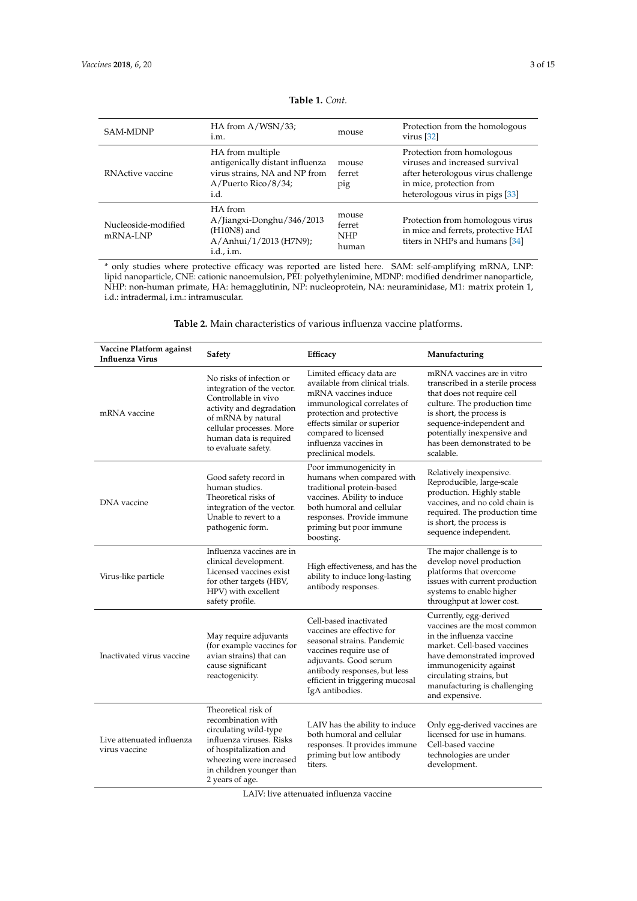<span id="page-2-0"></span>

| <b>SAM-MDNP</b>                 | HA from $A/WSN/33$ ;<br>i.m.                                                                                        | mouse                                  | Protection from the homologous<br>virus $[32]$                                                                                                                    |
|---------------------------------|---------------------------------------------------------------------------------------------------------------------|----------------------------------------|-------------------------------------------------------------------------------------------------------------------------------------------------------------------|
| RNActive vaccine                | HA from multiple<br>antigenically distant influenza<br>virus strains, NA and NP from<br>A/Puerto Rico/8/34;<br>i.d. | mouse<br>ferret<br>pig                 | Protection from homologous<br>viruses and increased survival<br>after heterologous virus challenge<br>in mice, protection from<br>heterologous virus in pigs [33] |
| Nucleoside-modified<br>mRNA-LNP | HA from<br>A/Jiangxi-Donghu/346/2013<br>$(H10N8)$ and<br>A/Anhui/1/2013 (H7N9);<br>i.d., i.m.                       | mouse<br>ferret<br><b>NHP</b><br>human | Protection from homologous virus<br>in mice and ferrets, protective HAI<br>titers in NHPs and humans [34]                                                         |

**Table 1.** *Cont.*

\* only studies where protective efficacy was reported are listed here. SAM: self-amplifying mRNA, LNP: lipid nanoparticle, CNE: cationic nanoemulsion, PEI: polyethylenimine, MDNP: modified dendrimer nanoparticle, NHP: non-human primate, HA: hemagglutinin, NP: nucleoprotein, NA: neuraminidase, M1: matrix protein 1, i.d.: intradermal, i.m.: intramuscular.

**Table 2.** Main characteristics of various influenza vaccine platforms.

<span id="page-2-1"></span>

| Vaccine Platform against<br><b>Influenza Virus</b> | Safety                                                                                                                                                                                                        | Efficacy                                                                                                                                                                                                                                                | Manufacturing                                                                                                                                                                                                                                                   |
|----------------------------------------------------|---------------------------------------------------------------------------------------------------------------------------------------------------------------------------------------------------------------|---------------------------------------------------------------------------------------------------------------------------------------------------------------------------------------------------------------------------------------------------------|-----------------------------------------------------------------------------------------------------------------------------------------------------------------------------------------------------------------------------------------------------------------|
| mRNA vaccine                                       | No risks of infection or<br>integration of the vector.<br>Controllable in vivo<br>activity and degradation<br>of mRNA by natural<br>cellular processes. More<br>human data is required<br>to evaluate safety. | Limited efficacy data are<br>available from clinical trials.<br>mRNA vaccines induce<br>immunological correlates of<br>protection and protective<br>effects similar or superior<br>compared to licensed<br>influenza vaccines in<br>preclinical models. | mRNA vaccines are in vitro<br>transcribed in a sterile process<br>that does not require cell<br>culture. The production time<br>is short, the process is<br>sequence-independent and<br>potentially inexpensive and<br>has been demonstrated to be<br>scalable. |
| DNA vaccine                                        | Good safety record in<br>human studies.<br>Theoretical risks of<br>integration of the vector.<br>Unable to revert to a<br>pathogenic form.                                                                    | Poor immunogenicity in<br>humans when compared with<br>traditional protein-based<br>vaccines. Ability to induce<br>both humoral and cellular<br>responses. Provide immune<br>priming but poor immune<br>boosting.                                       | Relatively inexpensive.<br>Reproducible, large-scale<br>production. Highly stable<br>vaccines, and no cold chain is<br>required. The production time<br>is short, the process is<br>sequence independent.                                                       |
| Virus-like particle                                | Influenza vaccines are in<br>clinical development.<br>Licensed vaccines exist<br>for other targets (HBV,<br>HPV) with excellent<br>safety profile.                                                            | High effectiveness, and has the<br>ability to induce long-lasting<br>antibody responses.                                                                                                                                                                | The major challenge is to<br>develop novel production<br>platforms that overcome<br>issues with current production<br>systems to enable higher<br>throughput at lower cost.                                                                                     |
| Inactivated virus vaccine                          | May require adjuvants<br>(for example vaccines for<br>avian strains) that can<br>cause significant<br>reactogenicity.                                                                                         | Cell-based inactivated<br>vaccines are effective for<br>seasonal strains. Pandemic<br>vaccines require use of<br>adjuvants. Good serum<br>antibody responses, but less<br>efficient in triggering mucosal<br>IgA antibodies.                            | Currently, egg-derived<br>vaccines are the most common<br>in the influenza vaccine<br>market. Cell-based vaccines<br>have demonstrated improved<br>immunogenicity against<br>circulating strains, but<br>manufacturing is challenging<br>and expensive.         |
| Live attenuated influenza<br>virus vaccine         | Theoretical risk of<br>recombination with<br>circulating wild-type<br>influenza viruses. Risks<br>of hospitalization and<br>wheezing were increased<br>in children younger than<br>2 years of age.            | LAIV has the ability to induce<br>both humoral and cellular<br>responses. It provides immune<br>priming but low antibody<br>titers.                                                                                                                     | Only egg-derived vaccines are<br>licensed for use in humans.<br>Cell-based vaccine<br>technologies are under<br>development.                                                                                                                                    |

LAIV: live attenuated influenza vaccine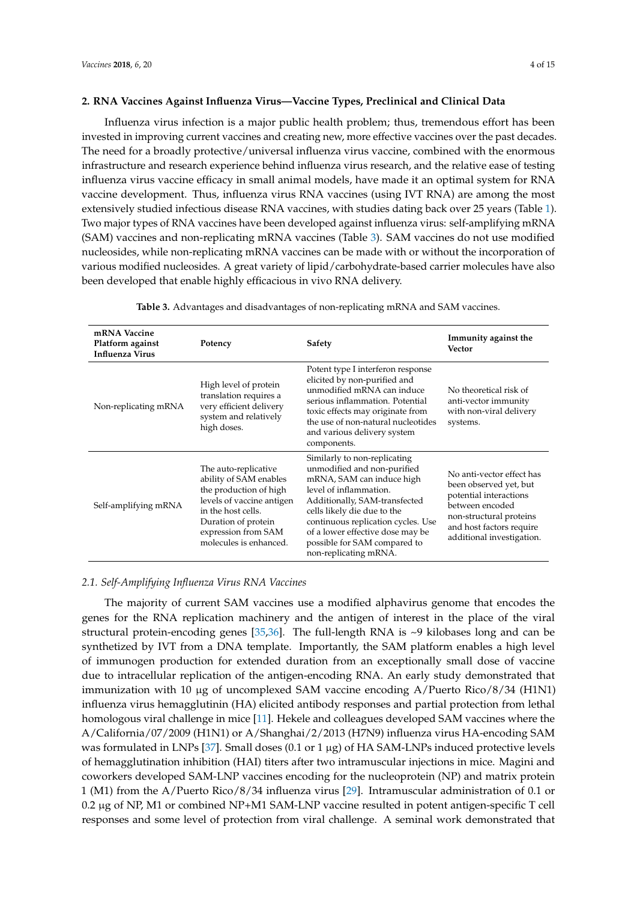#### <span id="page-3-0"></span>**2. RNA Vaccines Against Influenza Virus—Vaccine Types, Preclinical and Clinical Data**

Influenza virus infection is a major public health problem; thus, tremendous effort has been invested in improving current vaccines and creating new, more effective vaccines over the past decades. The need for a broadly protective/universal influenza virus vaccine, combined with the enormous infrastructure and research experience behind influenza virus research, and the relative ease of testing influenza virus vaccine efficacy in small animal models, have made it an optimal system for RNA vaccine development. Thus, influenza virus RNA vaccines (using IVT RNA) are among the most extensively studied infectious disease RNA vaccines, with studies dating back over 25 years (Table [1\)](#page-2-0). Two major types of RNA vaccines have been developed against influenza virus: self-amplifying mRNA (SAM) vaccines and non-replicating mRNA vaccines (Table [3\)](#page-3-1). SAM vaccines do not use modified nucleosides, while non-replicating mRNA vaccines can be made with or without the incorporation of various modified nucleosides. A great variety of lipid/carbohydrate-based carrier molecules have also been developed that enable highly efficacious in vivo RNA delivery.

<span id="page-3-1"></span>

| mRNA Vaccine<br>Platform against<br><b>Influenza Virus</b> | Potency                                                                                                                                                                                             | Safety                                                                                                                                                                                                                                                                                                                | Immunity against the<br>Vector                                                                                                                                                       |
|------------------------------------------------------------|-----------------------------------------------------------------------------------------------------------------------------------------------------------------------------------------------------|-----------------------------------------------------------------------------------------------------------------------------------------------------------------------------------------------------------------------------------------------------------------------------------------------------------------------|--------------------------------------------------------------------------------------------------------------------------------------------------------------------------------------|
| Non-replicating mRNA                                       | High level of protein<br>translation requires a<br>very efficient delivery<br>system and relatively<br>high doses.                                                                                  | Potent type I interferon response<br>elicited by non-purified and<br>unmodified mRNA can induce<br>serious inflammation. Potential<br>toxic effects may originate from<br>the use of non-natural nucleotides<br>and various delivery system<br>components.                                                            | No theoretical risk of<br>anti-vector immunity<br>with non-viral delivery<br>systems.                                                                                                |
| Self-amplifying mRNA                                       | The auto-replicative<br>ability of SAM enables<br>the production of high<br>levels of vaccine antigen<br>in the host cells.<br>Duration of protein<br>expression from SAM<br>molecules is enhanced. | Similarly to non-replicating<br>unmodified and non-purified<br>mRNA, SAM can induce high<br>level of inflammation.<br>Additionally, SAM-transfected<br>cells likely die due to the<br>continuous replication cycles. Use<br>of a lower effective dose may be<br>possible for SAM compared to<br>non-replicating mRNA. | No anti-vector effect has<br>been observed yet, but<br>potential interactions<br>between encoded<br>non-structural proteins<br>and host factors require<br>additional investigation. |

**Table 3.** Advantages and disadvantages of non-replicating mRNA and SAM vaccines.

#### *2.1. Self-Amplifying Influenza Virus RNA Vaccines*

The majority of current SAM vaccines use a modified alphavirus genome that encodes the genes for the RNA replication machinery and the antigen of interest in the place of the viral structural protein-encoding genes [\[35,](#page-12-9)[36\]](#page-12-10). The full-length RNA is ~9 kilobases long and can be synthetized by IVT from a DNA template. Importantly, the SAM platform enables a high level of immunogen production for extended duration from an exceptionally small dose of vaccine due to intracellular replication of the antigen-encoding RNA. An early study demonstrated that immunization with 10 µg of uncomplexed SAM vaccine encoding A/Puerto Rico/8/34 (H1N1) influenza virus hemagglutinin (HA) elicited antibody responses and partial protection from lethal homologous viral challenge in mice [\[11\]](#page-11-4). Hekele and colleagues developed SAM vaccines where the A/California/07/2009 (H1N1) or A/Shanghai/2/2013 (H7N9) influenza virus HA-encoding SAM was formulated in LNPs [\[37\]](#page-12-11). Small doses (0.1 or 1 µg) of HA SAM-LNPs induced protective levels of hemagglutination inhibition (HAI) titers after two intramuscular injections in mice. Magini and coworkers developed SAM-LNP vaccines encoding for the nucleoprotein (NP) and matrix protein 1 (M1) from the A/Puerto Rico/8/34 influenza virus [\[29\]](#page-12-3). Intramuscular administration of 0.1 or 0.2 µg of NP, M1 or combined NP+M1 SAM-LNP vaccine resulted in potent antigen-specific T cell responses and some level of protection from viral challenge. A seminal work demonstrated that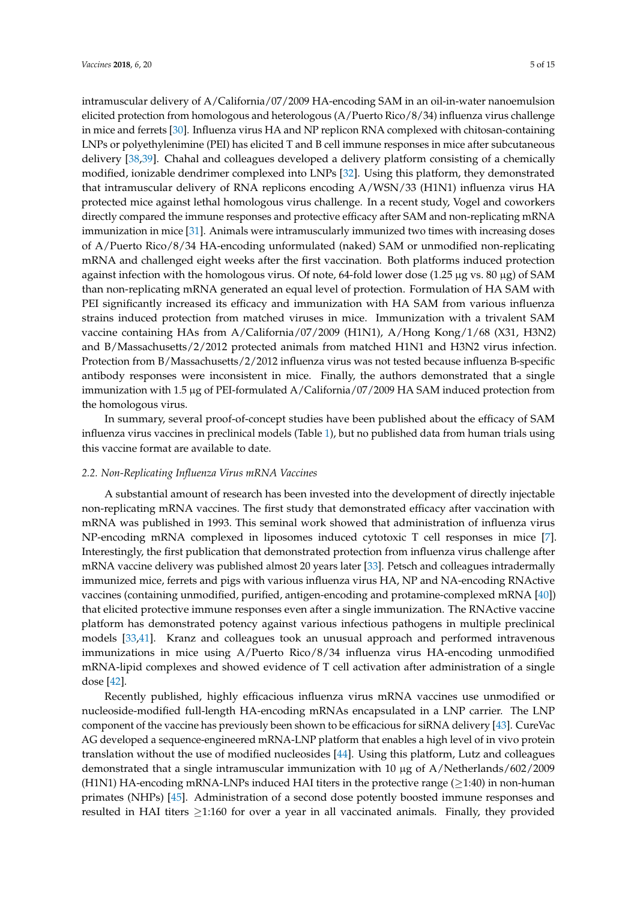intramuscular delivery of A/California/07/2009 HA-encoding SAM in an oil-in-water nanoemulsion elicited protection from homologous and heterologous (A/Puerto Rico/8/34) influenza virus challenge in mice and ferrets [\[30\]](#page-12-4). Influenza virus HA and NP replicon RNA complexed with chitosan-containing LNPs or polyethylenimine (PEI) has elicited T and B cell immune responses in mice after subcutaneous delivery [\[38](#page-12-12)[,39\]](#page-12-13). Chahal and colleagues developed a delivery platform consisting of a chemically modified, ionizable dendrimer complexed into LNPs [\[32\]](#page-12-6). Using this platform, they demonstrated that intramuscular delivery of RNA replicons encoding A/WSN/33 (H1N1) influenza virus HA protected mice against lethal homologous virus challenge. In a recent study, Vogel and coworkers directly compared the immune responses and protective efficacy after SAM and non-replicating mRNA immunization in mice [\[31\]](#page-12-5). Animals were intramuscularly immunized two times with increasing doses of A/Puerto Rico/8/34 HA-encoding unformulated (naked) SAM or unmodified non-replicating mRNA and challenged eight weeks after the first vaccination. Both platforms induced protection against infection with the homologous virus. Of note, 64-fold lower dose  $(1.25 \mu g \text{ vs. } 80 \mu g)$  of SAM than non-replicating mRNA generated an equal level of protection. Formulation of HA SAM with PEI significantly increased its efficacy and immunization with HA SAM from various influenza strains induced protection from matched viruses in mice. Immunization with a trivalent SAM vaccine containing HAs from A/California/07/2009 (H1N1), A/Hong Kong/1/68 (X31, H3N2) and B/Massachusetts/2/2012 protected animals from matched H1N1 and H3N2 virus infection. Protection from B/Massachusetts/2/2012 influenza virus was not tested because influenza B-specific antibody responses were inconsistent in mice. Finally, the authors demonstrated that a single immunization with 1.5 µg of PEI-formulated A/California/07/2009 HA SAM induced protection from the homologous virus.

In summary, several proof-of-concept studies have been published about the efficacy of SAM influenza virus vaccines in preclinical models (Table [1\)](#page-2-0), but no published data from human trials using this vaccine format are available to date.

#### <span id="page-4-0"></span>*2.2. Non-Replicating Influenza Virus mRNA Vaccines*

A substantial amount of research has been invested into the development of directly injectable non-replicating mRNA vaccines. The first study that demonstrated efficacy after vaccination with mRNA was published in 1993. This seminal work showed that administration of influenza virus NP-encoding mRNA complexed in liposomes induced cytotoxic T cell responses in mice [\[7\]](#page-11-1). Interestingly, the first publication that demonstrated protection from influenza virus challenge after mRNA vaccine delivery was published almost 20 years later [\[33\]](#page-12-7). Petsch and colleagues intradermally immunized mice, ferrets and pigs with various influenza virus HA, NP and NA-encoding RNActive vaccines (containing unmodified, purified, antigen-encoding and protamine-complexed mRNA [\[40\]](#page-12-14)) that elicited protective immune responses even after a single immunization. The RNActive vaccine platform has demonstrated potency against various infectious pathogens in multiple preclinical models [\[33](#page-12-7)[,41\]](#page-12-15). Kranz and colleagues took an unusual approach and performed intravenous immunizations in mice using A/Puerto Rico/8/34 influenza virus HA-encoding unmodified mRNA-lipid complexes and showed evidence of T cell activation after administration of a single dose [\[42\]](#page-13-0).

Recently published, highly efficacious influenza virus mRNA vaccines use unmodified or nucleoside-modified full-length HA-encoding mRNAs encapsulated in a LNP carrier. The LNP component of the vaccine has previously been shown to be efficacious for siRNA delivery [\[43\]](#page-13-1). CureVac AG developed a sequence-engineered mRNA-LNP platform that enables a high level of in vivo protein translation without the use of modified nucleosides [\[44\]](#page-13-2). Using this platform, Lutz and colleagues demonstrated that a single intramuscular immunization with 10 µg of A/Netherlands/602/2009  $(H1N1)$  HA-encoding mRNA-LNPs induced HAI titers in the protective range ( $>1:40$ ) in non-human primates (NHPs) [\[45\]](#page-13-3). Administration of a second dose potently boosted immune responses and resulted in HAI titers  $\geq$ 1:160 for over a year in all vaccinated animals. Finally, they provided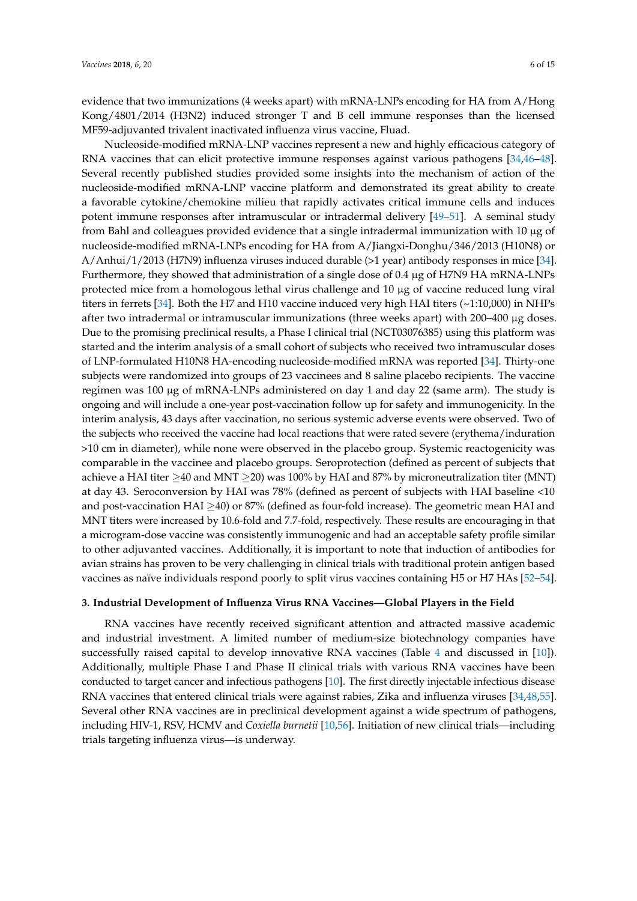evidence that two immunizations (4 weeks apart) with mRNA-LNPs encoding for HA from A/Hong Kong/4801/2014 (H3N2) induced stronger T and B cell immune responses than the licensed MF59-adjuvanted trivalent inactivated influenza virus vaccine, Fluad.

Nucleoside-modified mRNA-LNP vaccines represent a new and highly efficacious category of RNA vaccines that can elicit protective immune responses against various pathogens [\[34,](#page-12-8)[46–](#page-13-4)[48\]](#page-13-5). Several recently published studies provided some insights into the mechanism of action of the nucleoside-modified mRNA-LNP vaccine platform and demonstrated its great ability to create a favorable cytokine/chemokine milieu that rapidly activates critical immune cells and induces potent immune responses after intramuscular or intradermal delivery [\[49](#page-13-6)[–51\]](#page-13-7). A seminal study from Bahl and colleagues provided evidence that a single intradermal immunization with 10 µg of nucleoside-modified mRNA-LNPs encoding for HA from A/Jiangxi-Donghu/346/2013 (H10N8) or A/Anhui/1/2013 (H7N9) influenza viruses induced durable (>1 year) antibody responses in mice [\[34\]](#page-12-8). Furthermore, they showed that administration of a single dose of 0.4  $\mu$ g of H7N9 HA mRNA-LNPs protected mice from a homologous lethal virus challenge and 10 µg of vaccine reduced lung viral titers in ferrets [\[34\]](#page-12-8). Both the H7 and H10 vaccine induced very high HAI titers (~1:10,000) in NHPs after two intradermal or intramuscular immunizations (three weeks apart) with 200–400 µg doses. Due to the promising preclinical results, a Phase I clinical trial (NCT03076385) using this platform was started and the interim analysis of a small cohort of subjects who received two intramuscular doses of LNP-formulated H10N8 HA-encoding nucleoside-modified mRNA was reported [\[34\]](#page-12-8). Thirty-one subjects were randomized into groups of 23 vaccinees and 8 saline placebo recipients. The vaccine regimen was 100 µg of mRNA-LNPs administered on day 1 and day 22 (same arm). The study is ongoing and will include a one-year post-vaccination follow up for safety and immunogenicity. In the interim analysis, 43 days after vaccination, no serious systemic adverse events were observed. Two of the subjects who received the vaccine had local reactions that were rated severe (erythema/induration >10 cm in diameter), while none were observed in the placebo group. Systemic reactogenicity was comparable in the vaccinee and placebo groups. Seroprotection (defined as percent of subjects that achieve a HAI titer  $\geq$ 40 and MNT  $\geq$ 20) was 100% by HAI and 87% by microneutralization titer (MNT) at day 43. Seroconversion by HAI was 78% (defined as percent of subjects with HAI baseline <10 and post-vaccination  $HAI \geq 40$ ) or 87% (defined as four-fold increase). The geometric mean HAI and MNT titers were increased by 10.6-fold and 7.7-fold, respectively. These results are encouraging in that a microgram-dose vaccine was consistently immunogenic and had an acceptable safety profile similar to other adjuvanted vaccines. Additionally, it is important to note that induction of antibodies for avian strains has proven to be very challenging in clinical trials with traditional protein antigen based vaccines as naïve individuals respond poorly to split virus vaccines containing H5 or H7 HAs [\[52–](#page-13-8)[54\]](#page-13-9).

## **3. Industrial Development of Influenza Virus RNA Vaccines—Global Players in the Field**

RNA vaccines have recently received significant attention and attracted massive academic and industrial investment. A limited number of medium-size biotechnology companies have successfully raised capital to develop innovative RNA vaccines (Table [4](#page-6-0) and discussed in [\[10\]](#page-11-3)). Additionally, multiple Phase I and Phase II clinical trials with various RNA vaccines have been conducted to target cancer and infectious pathogens [\[10\]](#page-11-3). The first directly injectable infectious disease RNA vaccines that entered clinical trials were against rabies, Zika and influenza viruses [\[34,](#page-12-8)[48,](#page-13-5)[55\]](#page-13-10). Several other RNA vaccines are in preclinical development against a wide spectrum of pathogens, including HIV-1, RSV, HCMV and *Coxiella burnetii* [\[10,](#page-11-3)[56\]](#page-13-11). Initiation of new clinical trials—including trials targeting influenza virus—is underway.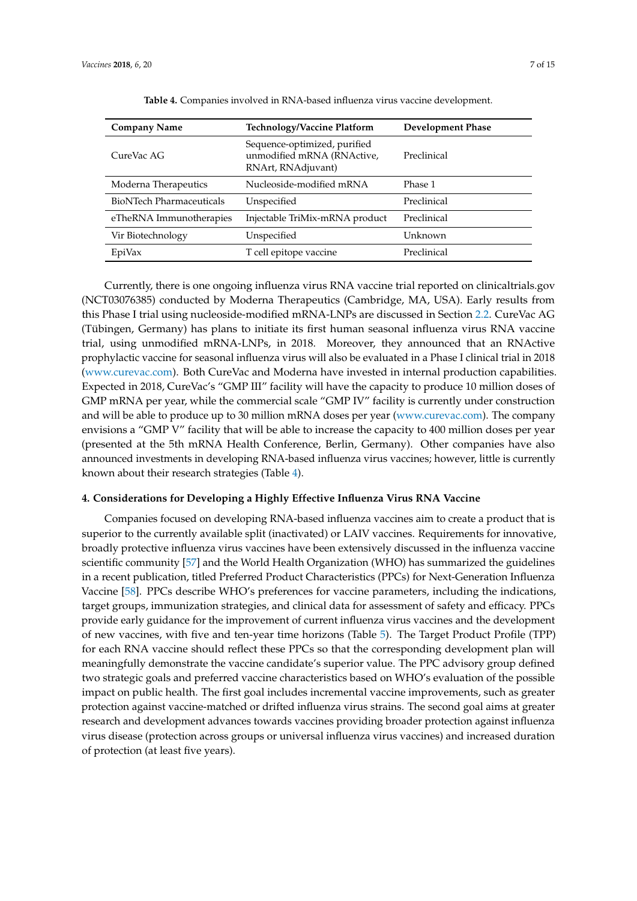<span id="page-6-0"></span>

| <b>Company Name</b>             | <b>Technology/Vaccine Platform</b>                                               | Development Phase |
|---------------------------------|----------------------------------------------------------------------------------|-------------------|
| CureVac AG                      | Sequence-optimized, purified<br>unmodified mRNA (RNActive,<br>RNArt, RNAdjuvant) | Preclinical       |
| Moderna Therapeutics            | Nucleoside-modified mRNA                                                         | Phase 1           |
| <b>BioNTech Pharmaceuticals</b> | Unspecified                                                                      | Preclinical       |
| eTheRNA Immunotherapies         | Injectable TriMix-mRNA product                                                   | Preclinical       |
| Vir Biotechnology               | Unspecified                                                                      | Unknown           |
| EpiVax                          | T cell epitope vaccine                                                           | Preclinical       |

**Table 4.** Companies involved in RNA-based influenza virus vaccine development.

Currently, there is one ongoing influenza virus RNA vaccine trial reported on clinicaltrials.gov (NCT03076385) conducted by Moderna Therapeutics (Cambridge, MA, USA). Early results from this Phase I trial using nucleoside-modified mRNA-LNPs are discussed in Section [2.2.](#page-4-0) CureVac AG (Tübingen, Germany) has plans to initiate its first human seasonal influenza virus RNA vaccine trial, using unmodified mRNA-LNPs, in 2018. Moreover, they announced that an RNActive prophylactic vaccine for seasonal influenza virus will also be evaluated in a Phase I clinical trial in 2018 [\(www.curevac.com\)](www.curevac.com). Both CureVac and Moderna have invested in internal production capabilities. Expected in 2018, CureVac's "GMP III" facility will have the capacity to produce 10 million doses of GMP mRNA per year, while the commercial scale "GMP IV" facility is currently under construction and will be able to produce up to 30 million mRNA doses per year [\(www.curevac.com\)](www.curevac.com). The company envisions a "GMP V" facility that will be able to increase the capacity to 400 million doses per year (presented at the 5th mRNA Health Conference, Berlin, Germany). Other companies have also announced investments in developing RNA-based influenza virus vaccines; however, little is currently known about their research strategies (Table [4\)](#page-6-0).

#### **4. Considerations for Developing a Highly Effective Influenza Virus RNA Vaccine**

Companies focused on developing RNA-based influenza vaccines aim to create a product that is superior to the currently available split (inactivated) or LAIV vaccines. Requirements for innovative, broadly protective influenza virus vaccines have been extensively discussed in the influenza vaccine scientific community [\[57\]](#page-13-12) and the World Health Organization (WHO) has summarized the guidelines in a recent publication, titled Preferred Product Characteristics (PPCs) for Next-Generation Influenza Vaccine [\[58\]](#page-13-13). PPCs describe WHO's preferences for vaccine parameters, including the indications, target groups, immunization strategies, and clinical data for assessment of safety and efficacy. PPCs provide early guidance for the improvement of current influenza virus vaccines and the development of new vaccines, with five and ten-year time horizons (Table [5\)](#page-7-0). The Target Product Profile (TPP) for each RNA vaccine should reflect these PPCs so that the corresponding development plan will meaningfully demonstrate the vaccine candidate's superior value. The PPC advisory group defined two strategic goals and preferred vaccine characteristics based on WHO's evaluation of the possible impact on public health. The first goal includes incremental vaccine improvements, such as greater protection against vaccine-matched or drifted influenza virus strains. The second goal aims at greater research and development advances towards vaccines providing broader protection against influenza virus disease (protection across groups or universal influenza virus vaccines) and increased duration of protection (at least five years).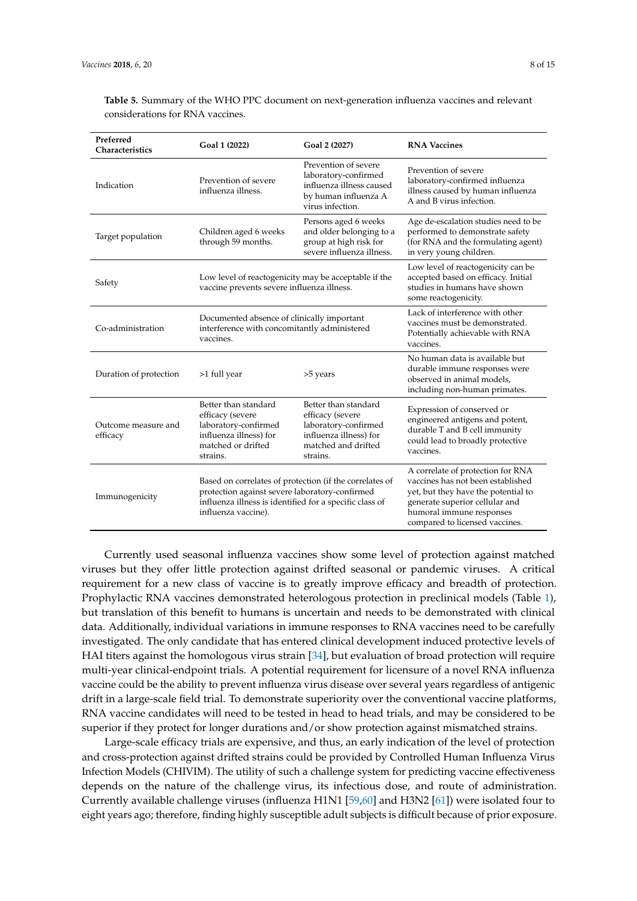| Preferred<br>Characteristics    | Goal 1 (2022)                                                                                                                                                                               | Goal 2 (2027)                                                                                                                 | <b>RNA Vaccines</b>                                                                                                                                                                                           |
|---------------------------------|---------------------------------------------------------------------------------------------------------------------------------------------------------------------------------------------|-------------------------------------------------------------------------------------------------------------------------------|---------------------------------------------------------------------------------------------------------------------------------------------------------------------------------------------------------------|
| Indication                      | Prevention of severe<br>influenza illness.                                                                                                                                                  | Prevention of severe<br>laboratory-confirmed<br>influenza illness caused<br>by human influenza A<br>virus infection.          | Prevention of severe<br>laboratory-confirmed influenza<br>illness caused by human influenza<br>A and B virus infection.                                                                                       |
| Target population               | Children aged 6 weeks<br>through 59 months.                                                                                                                                                 | Persons aged 6 weeks<br>and older belonging to a<br>group at high risk for<br>severe influenza illness.                       | Age de-escalation studies need to be<br>performed to demonstrate safety<br>(for RNA and the formulating agent)<br>in very young children.                                                                     |
| Safety                          | Low level of reactogenicity may be acceptable if the<br>vaccine prevents severe influenza illness.                                                                                          |                                                                                                                               | Low level of reactogenicity can be<br>accepted based on efficacy. Initial<br>studies in humans have shown<br>some reactogenicity.                                                                             |
| Co-administration               | Documented absence of clinically important<br>interference with concomitantly administered<br>vaccines.                                                                                     |                                                                                                                               | Lack of interference with other<br>vaccines must be demonstrated.<br>Potentially achievable with RNA<br>vaccines.                                                                                             |
| Duration of protection          | >1 full year                                                                                                                                                                                | >5 years                                                                                                                      | No human data is available but<br>durable immune responses were<br>observed in animal models,<br>including non-human primates.                                                                                |
| Outcome measure and<br>efficacy | Better than standard<br>efficacy (severe<br>laboratory-confirmed<br>influenza illness) for<br>matched or drifted<br>strains.                                                                | Better than standard<br>efficacy (severe<br>laboratory-confirmed<br>influenza illness) for<br>matched and drifted<br>strains. | Expression of conserved or<br>engineered antigens and potent,<br>durable T and B cell immunity<br>could lead to broadly protective<br>vaccines.                                                               |
| Immunogenicity                  | Based on correlates of protection (if the correlates of<br>protection against severe laboratory-confirmed<br>influenza illness is identified for a specific class of<br>influenza vaccine). |                                                                                                                               | A correlate of protection for RNA<br>vaccines has not been established<br>yet, but they have the potential to<br>generate superior cellular and<br>humoral immune responses<br>compared to licensed vaccines. |

<span id="page-7-0"></span>**Table 5.** Summary of the WHO PPC document on next-generation influenza vaccines and relevant considerations for RNA vaccines.

Currently used seasonal influenza vaccines show some level of protection against matched viruses but they offer little protection against drifted seasonal or pandemic viruses. A critical requirement for a new class of vaccine is to greatly improve efficacy and breadth of protection. Prophylactic RNA vaccines demonstrated heterologous protection in preclinical models (Table [1\)](#page-2-0), but translation of this benefit to humans is uncertain and needs to be demonstrated with clinical data. Additionally, individual variations in immune responses to RNA vaccines need to be carefully investigated. The only candidate that has entered clinical development induced protective levels of HAI titers against the homologous virus strain [\[34\]](#page-12-8), but evaluation of broad protection will require multi-year clinical-endpoint trials. A potential requirement for licensure of a novel RNA influenza vaccine could be the ability to prevent influenza virus disease over several years regardless of antigenic drift in a large-scale field trial. To demonstrate superiority over the conventional vaccine platforms, RNA vaccine candidates will need to be tested in head to head trials, and may be considered to be superior if they protect for longer durations and/or show protection against mismatched strains.

Large-scale efficacy trials are expensive, and thus, an early indication of the level of protection and cross-protection against drifted strains could be provided by Controlled Human Influenza Virus Infection Models (CHIVIM). The utility of such a challenge system for predicting vaccine effectiveness depends on the nature of the challenge virus, its infectious dose, and route of administration. Currently available challenge viruses (influenza H1N1 [\[59,](#page-14-0)[60\]](#page-14-1) and H3N2 [\[61\]](#page-14-2)) were isolated four to eight years ago; therefore, finding highly susceptible adult subjects is difficult because of prior exposure.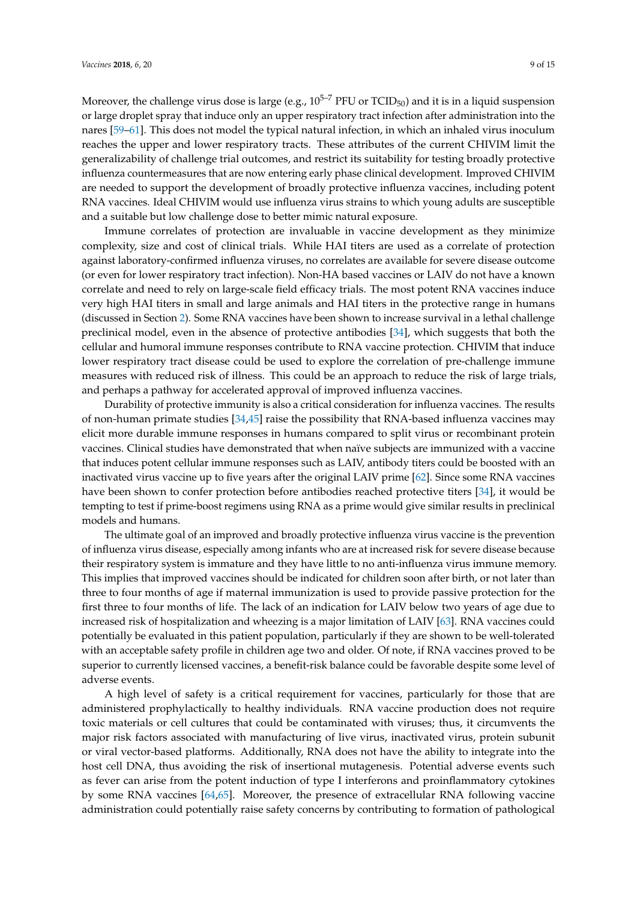Moreover, the challenge virus dose is large (e.g.,  $10^{5-7}$  PFU or TCID<sub>50</sub>) and it is in a liquid suspension or large droplet spray that induce only an upper respiratory tract infection after administration into the nares [\[59](#page-14-0)[–61\]](#page-14-2). This does not model the typical natural infection, in which an inhaled virus inoculum reaches the upper and lower respiratory tracts. These attributes of the current CHIVIM limit the generalizability of challenge trial outcomes, and restrict its suitability for testing broadly protective influenza countermeasures that are now entering early phase clinical development. Improved CHIVIM are needed to support the development of broadly protective influenza vaccines, including potent RNA vaccines. Ideal CHIVIM would use influenza virus strains to which young adults are susceptible and a suitable but low challenge dose to better mimic natural exposure.

Immune correlates of protection are invaluable in vaccine development as they minimize complexity, size and cost of clinical trials. While HAI titers are used as a correlate of protection against laboratory-confirmed influenza viruses, no correlates are available for severe disease outcome (or even for lower respiratory tract infection). Non-HA based vaccines or LAIV do not have a known correlate and need to rely on large-scale field efficacy trials. The most potent RNA vaccines induce very high HAI titers in small and large animals and HAI titers in the protective range in humans (discussed in Section [2\)](#page-3-0). Some RNA vaccines have been shown to increase survival in a lethal challenge preclinical model, even in the absence of protective antibodies [\[34\]](#page-12-8), which suggests that both the cellular and humoral immune responses contribute to RNA vaccine protection. CHIVIM that induce lower respiratory tract disease could be used to explore the correlation of pre-challenge immune measures with reduced risk of illness. This could be an approach to reduce the risk of large trials, and perhaps a pathway for accelerated approval of improved influenza vaccines.

Durability of protective immunity is also a critical consideration for influenza vaccines. The results of non-human primate studies  $[34,45]$  $[34,45]$  raise the possibility that RNA-based influenza vaccines may elicit more durable immune responses in humans compared to split virus or recombinant protein vaccines. Clinical studies have demonstrated that when naïve subjects are immunized with a vaccine that induces potent cellular immune responses such as LAIV, antibody titers could be boosted with an inactivated virus vaccine up to five years after the original LAIV prime [\[62\]](#page-14-3). Since some RNA vaccines have been shown to confer protection before antibodies reached protective titers [\[34\]](#page-12-8), it would be tempting to test if prime-boost regimens using RNA as a prime would give similar results in preclinical models and humans.

The ultimate goal of an improved and broadly protective influenza virus vaccine is the prevention of influenza virus disease, especially among infants who are at increased risk for severe disease because their respiratory system is immature and they have little to no anti-influenza virus immune memory. This implies that improved vaccines should be indicated for children soon after birth, or not later than three to four months of age if maternal immunization is used to provide passive protection for the first three to four months of life. The lack of an indication for LAIV below two years of age due to increased risk of hospitalization and wheezing is a major limitation of LAIV [\[63\]](#page-14-4). RNA vaccines could potentially be evaluated in this patient population, particularly if they are shown to be well-tolerated with an acceptable safety profile in children age two and older. Of note, if RNA vaccines proved to be superior to currently licensed vaccines, a benefit-risk balance could be favorable despite some level of adverse events.

A high level of safety is a critical requirement for vaccines, particularly for those that are administered prophylactically to healthy individuals. RNA vaccine production does not require toxic materials or cell cultures that could be contaminated with viruses; thus, it circumvents the major risk factors associated with manufacturing of live virus, inactivated virus, protein subunit or viral vector-based platforms. Additionally, RNA does not have the ability to integrate into the host cell DNA, thus avoiding the risk of insertional mutagenesis. Potential adverse events such as fever can arise from the potent induction of type I interferons and proinflammatory cytokines by some RNA vaccines [\[64](#page-14-5)[,65\]](#page-14-6). Moreover, the presence of extracellular RNA following vaccine administration could potentially raise safety concerns by contributing to formation of pathological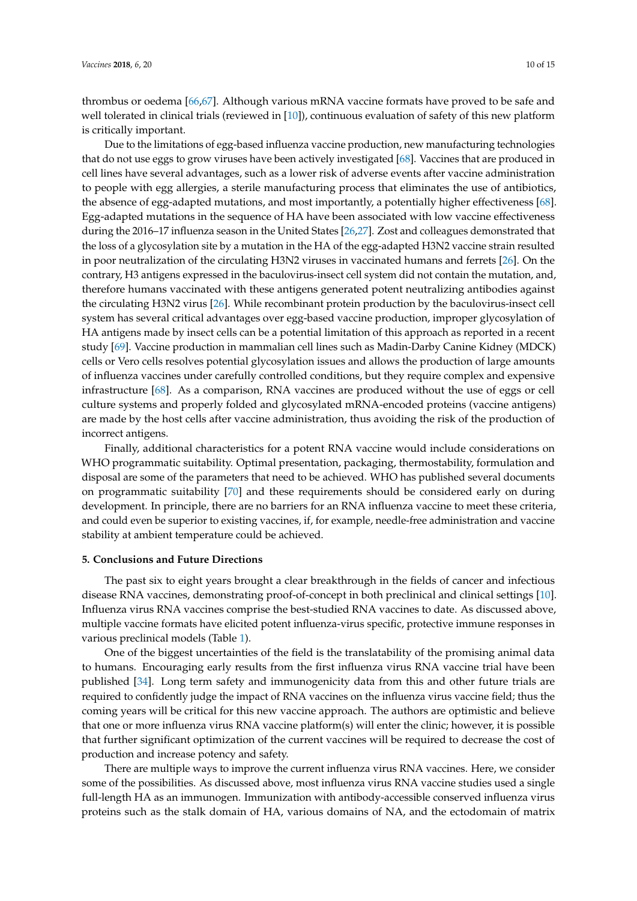thrombus or oedema [\[66,](#page-14-7)[67\]](#page-14-8). Although various mRNA vaccine formats have proved to be safe and well tolerated in clinical trials (reviewed in [\[10\]](#page-11-3)), continuous evaluation of safety of this new platform is critically important.

Due to the limitations of egg-based influenza vaccine production, new manufacturing technologies that do not use eggs to grow viruses have been actively investigated [\[68\]](#page-14-9). Vaccines that are produced in cell lines have several advantages, such as a lower risk of adverse events after vaccine administration to people with egg allergies, a sterile manufacturing process that eliminates the use of antibiotics, the absence of egg-adapted mutations, and most importantly, a potentially higher effectiveness [\[68\]](#page-14-9). Egg-adapted mutations in the sequence of HA have been associated with low vaccine effectiveness during the 2016–17 influenza season in the United States [\[26](#page-12-16)[,27\]](#page-12-1). Zost and colleagues demonstrated that the loss of a glycosylation site by a mutation in the HA of the egg-adapted H3N2 vaccine strain resulted in poor neutralization of the circulating H3N2 viruses in vaccinated humans and ferrets [\[26\]](#page-12-16). On the contrary, H3 antigens expressed in the baculovirus-insect cell system did not contain the mutation, and, therefore humans vaccinated with these antigens generated potent neutralizing antibodies against the circulating H3N2 virus [\[26\]](#page-12-16). While recombinant protein production by the baculovirus-insect cell system has several critical advantages over egg-based vaccine production, improper glycosylation of HA antigens made by insect cells can be a potential limitation of this approach as reported in a recent study [\[69\]](#page-14-10). Vaccine production in mammalian cell lines such as Madin-Darby Canine Kidney (MDCK) cells or Vero cells resolves potential glycosylation issues and allows the production of large amounts of influenza vaccines under carefully controlled conditions, but they require complex and expensive infrastructure [\[68\]](#page-14-9). As a comparison, RNA vaccines are produced without the use of eggs or cell culture systems and properly folded and glycosylated mRNA-encoded proteins (vaccine antigens) are made by the host cells after vaccine administration, thus avoiding the risk of the production of incorrect antigens.

Finally, additional characteristics for a potent RNA vaccine would include considerations on WHO programmatic suitability. Optimal presentation, packaging, thermostability, formulation and disposal are some of the parameters that need to be achieved. WHO has published several documents on programmatic suitability [\[70\]](#page-14-11) and these requirements should be considered early on during development. In principle, there are no barriers for an RNA influenza vaccine to meet these criteria, and could even be superior to existing vaccines, if, for example, needle-free administration and vaccine stability at ambient temperature could be achieved.

#### **5. Conclusions and Future Directions**

The past six to eight years brought a clear breakthrough in the fields of cancer and infectious disease RNA vaccines, demonstrating proof-of-concept in both preclinical and clinical settings [\[10\]](#page-11-3). Influenza virus RNA vaccines comprise the best-studied RNA vaccines to date. As discussed above, multiple vaccine formats have elicited potent influenza-virus specific, protective immune responses in various preclinical models (Table [1\)](#page-2-0).

One of the biggest uncertainties of the field is the translatability of the promising animal data to humans. Encouraging early results from the first influenza virus RNA vaccine trial have been published [\[34\]](#page-12-8). Long term safety and immunogenicity data from this and other future trials are required to confidently judge the impact of RNA vaccines on the influenza virus vaccine field; thus the coming years will be critical for this new vaccine approach. The authors are optimistic and believe that one or more influenza virus RNA vaccine platform(s) will enter the clinic; however, it is possible that further significant optimization of the current vaccines will be required to decrease the cost of production and increase potency and safety.

There are multiple ways to improve the current influenza virus RNA vaccines. Here, we consider some of the possibilities. As discussed above, most influenza virus RNA vaccine studies used a single full-length HA as an immunogen. Immunization with antibody-accessible conserved influenza virus proteins such as the stalk domain of HA, various domains of NA, and the ectodomain of matrix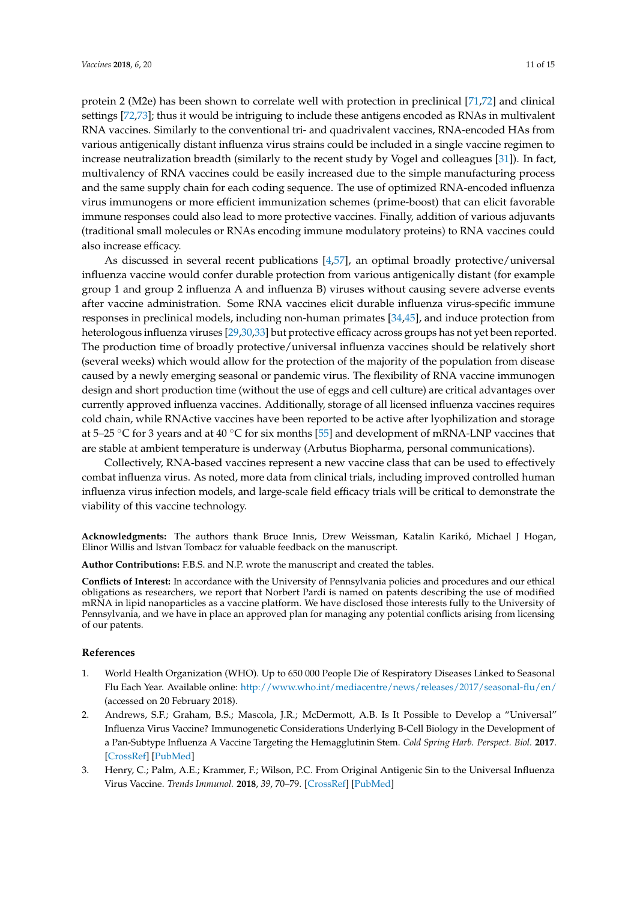protein 2 (M2e) has been shown to correlate well with protection in preclinical [\[71](#page-14-12)[,72\]](#page-14-13) and clinical settings [\[72](#page-14-13)[,73\]](#page-14-14); thus it would be intriguing to include these antigens encoded as RNAs in multivalent RNA vaccines. Similarly to the conventional tri- and quadrivalent vaccines, RNA-encoded HAs from various antigenically distant influenza virus strains could be included in a single vaccine regimen to increase neutralization breadth (similarly to the recent study by Vogel and colleagues [\[31\]](#page-12-5)). In fact, multivalency of RNA vaccines could be easily increased due to the simple manufacturing process and the same supply chain for each coding sequence. The use of optimized RNA-encoded influenza virus immunogens or more efficient immunization schemes (prime-boost) that can elicit favorable immune responses could also lead to more protective vaccines. Finally, addition of various adjuvants (traditional small molecules or RNAs encoding immune modulatory proteins) to RNA vaccines could also increase efficacy.

As discussed in several recent publications [\[4](#page-11-12)[,57\]](#page-13-12), an optimal broadly protective/universal influenza vaccine would confer durable protection from various antigenically distant (for example group 1 and group 2 influenza A and influenza B) viruses without causing severe adverse events after vaccine administration. Some RNA vaccines elicit durable influenza virus-specific immune responses in preclinical models, including non-human primates [\[34](#page-12-8)[,45\]](#page-13-3), and induce protection from heterologous influenza viruses [\[29,](#page-12-3)[30,](#page-12-4)[33\]](#page-12-7) but protective efficacy across groups has not yet been reported. The production time of broadly protective/universal influenza vaccines should be relatively short (several weeks) which would allow for the protection of the majority of the population from disease caused by a newly emerging seasonal or pandemic virus. The flexibility of RNA vaccine immunogen design and short production time (without the use of eggs and cell culture) are critical advantages over currently approved influenza vaccines. Additionally, storage of all licensed influenza vaccines requires cold chain, while RNActive vaccines have been reported to be active after lyophilization and storage at 5–25  $\degree$ C for 3 years and at 40  $\degree$ C for six months [\[55\]](#page-13-10) and development of mRNA-LNP vaccines that are stable at ambient temperature is underway (Arbutus Biopharma, personal communications).

Collectively, RNA-based vaccines represent a new vaccine class that can be used to effectively combat influenza virus. As noted, more data from clinical trials, including improved controlled human influenza virus infection models, and large-scale field efficacy trials will be critical to demonstrate the viability of this vaccine technology.

**Acknowledgments:** The authors thank Bruce Innis, Drew Weissman, Katalin Karikó, Michael J Hogan, Elinor Willis and Istvan Tombacz for valuable feedback on the manuscript.

**Author Contributions:** F.B.S. and N.P. wrote the manuscript and created the tables.

**Conflicts of Interest:** In accordance with the University of Pennsylvania policies and procedures and our ethical obligations as researchers, we report that Norbert Pardi is named on patents describing the use of modified mRNA in lipid nanoparticles as a vaccine platform. We have disclosed those interests fully to the University of Pennsylvania, and we have in place an approved plan for managing any potential conflicts arising from licensing of our patents.

#### **References**

- <span id="page-10-0"></span>1. World Health Organization (WHO). Up to 650 000 People Die of Respiratory Diseases Linked to Seasonal Flu Each Year. Available online: <http://www.who.int/mediacentre/news/releases/2017/seasonal-flu/en/> (accessed on 20 February 2018).
- <span id="page-10-1"></span>2. Andrews, S.F.; Graham, B.S.; Mascola, J.R.; McDermott, A.B. Is It Possible to Develop a "Universal" Influenza Virus Vaccine? Immunogenetic Considerations Underlying B-Cell Biology in the Development of a Pan-Subtype Influenza A Vaccine Targeting the Hemagglutinin Stem. *Cold Spring Harb. Perspect. Biol.* **2017**. [\[CrossRef\]](http://dx.doi.org/10.1101/cshperspect.a029413) [\[PubMed\]](http://www.ncbi.nlm.nih.gov/pubmed/28663207)
- 3. Henry, C.; Palm, A.E.; Krammer, F.; Wilson, P.C. From Original Antigenic Sin to the Universal Influenza Virus Vaccine. *Trends Immunol.* **2018**, *39*, 70–79. [\[CrossRef\]](http://dx.doi.org/10.1016/j.it.2017.08.003) [\[PubMed\]](http://www.ncbi.nlm.nih.gov/pubmed/28867526)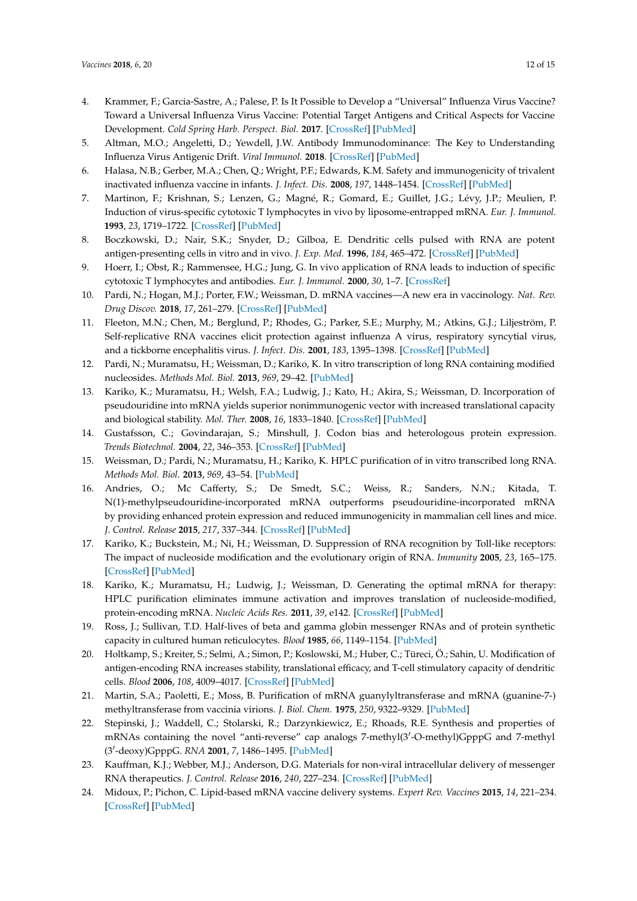- <span id="page-11-12"></span>4. Krammer, F.; Garcia-Sastre, A.; Palese, P. Is It Possible to Develop a "Universal" Influenza Virus Vaccine? Toward a Universal Influenza Virus Vaccine: Potential Target Antigens and Critical Aspects for Vaccine Development. *Cold Spring Harb. Perspect. Biol.* **2017**. [\[CrossRef\]](http://dx.doi.org/10.1101/cshperspect.a028845) [\[PubMed\]](http://www.ncbi.nlm.nih.gov/pubmed/28663209)
- 5. Altman, M.O.; Angeletti, D.; Yewdell, J.W. Antibody Immunodominance: The Key to Understanding Influenza Virus Antigenic Drift. *Viral Immunol.* **2018**. [\[CrossRef\]](http://dx.doi.org/10.1089/vim.2017.0129) [\[PubMed\]](http://www.ncbi.nlm.nih.gov/pubmed/29356618)
- <span id="page-11-0"></span>6. Halasa, N.B.; Gerber, M.A.; Chen, Q.; Wright, P.F.; Edwards, K.M. Safety and immunogenicity of trivalent inactivated influenza vaccine in infants. *J. Infect. Dis.* **2008**, *197*, 1448–1454. [\[CrossRef\]](http://dx.doi.org/10.1086/587643) [\[PubMed\]](http://www.ncbi.nlm.nih.gov/pubmed/18444800)
- <span id="page-11-1"></span>7. Martinon, F.; Krishnan, S.; Lenzen, G.; Magné, R.; Gomard, E.; Guillet, J.G.; Lévy, J.P.; Meulien, P. Induction of virus-specific cytotoxic T lymphocytes in vivo by liposome-entrapped mRNA. *Eur. J. Immunol.* **1993**, *23*, 1719–1722. [\[CrossRef\]](http://dx.doi.org/10.1002/eji.1830230749) [\[PubMed\]](http://www.ncbi.nlm.nih.gov/pubmed/8325342)
- 8. Boczkowski, D.; Nair, S.K.; Snyder, D.; Gilboa, E. Dendritic cells pulsed with RNA are potent antigen-presenting cells in vitro and in vivo. *J. Exp. Med.* **1996**, *184*, 465–472. [\[CrossRef\]](http://dx.doi.org/10.1084/jem.184.2.465) [\[PubMed\]](http://www.ncbi.nlm.nih.gov/pubmed/8760800)
- <span id="page-11-2"></span>9. Hoerr, I.; Obst, R.; Rammensee, H.G.; Jung, G. In vivo application of RNA leads to induction of specific cytotoxic T lymphocytes and antibodies. *Eur. J. Immunol.* **2000**, *30*, 1–7. [\[CrossRef\]](http://dx.doi.org/10.1002/1521-4141(200001)30:1<1::AID-IMMU1>3.0.CO;2-)
- <span id="page-11-3"></span>10. Pardi, N.; Hogan, M.J.; Porter, F.W.; Weissman, D. mRNA vaccines—A new era in vaccinology. *Nat. Rev. Drug Discov.* **2018**, *17*, 261–279. [\[CrossRef\]](http://dx.doi.org/10.1038/nrd.2017.243) [\[PubMed\]](http://www.ncbi.nlm.nih.gov/pubmed/29326426)
- <span id="page-11-4"></span>11. Fleeton, M.N.; Chen, M.; Berglund, P.; Rhodes, G.; Parker, S.E.; Murphy, M.; Atkins, G.J.; Liljeström, P. Self-replicative RNA vaccines elicit protection against influenza A virus, respiratory syncytial virus, and a tickborne encephalitis virus. *J. Infect. Dis.* **2001**, *183*, 1395–1398. [\[CrossRef\]](http://dx.doi.org/10.1086/319857) [\[PubMed\]](http://www.ncbi.nlm.nih.gov/pubmed/11294672)
- <span id="page-11-5"></span>12. Pardi, N.; Muramatsu, H.; Weissman, D.; Kariko, K. In vitro transcription of long RNA containing modified nucleosides. *Methods Mol. Biol.* **2013**, *969*, 29–42. [\[PubMed\]](http://www.ncbi.nlm.nih.gov/pubmed/23296925)
- <span id="page-11-6"></span>13. Kariko, K.; Muramatsu, H.; Welsh, F.A.; Ludwig, J.; Kato, H.; Akira, S.; Weissman, D. Incorporation of pseudouridine into mRNA yields superior nonimmunogenic vector with increased translational capacity and biological stability. *Mol. Ther.* **2008**, *16*, 1833–1840. [\[CrossRef\]](http://dx.doi.org/10.1038/mt.2008.200) [\[PubMed\]](http://www.ncbi.nlm.nih.gov/pubmed/18797453)
- 14. Gustafsson, C.; Govindarajan, S.; Minshull, J. Codon bias and heterologous protein expression. *Trends Biotechnol.* **2004**, *22*, 346–353. [\[CrossRef\]](http://dx.doi.org/10.1016/j.tibtech.2004.04.006) [\[PubMed\]](http://www.ncbi.nlm.nih.gov/pubmed/15245907)
- 15. Weissman, D.; Pardi, N.; Muramatsu, H.; Kariko, K. HPLC purification of in vitro transcribed long RNA. *Methods Mol. Biol.* **2013**, *969*, 43–54. [\[PubMed\]](http://www.ncbi.nlm.nih.gov/pubmed/23296926)
- 16. Andries, O.; Mc Cafferty, S.; De Smedt, S.C.; Weiss, R.; Sanders, N.N.; Kitada, T. N(1)-methylpseudouridine-incorporated mRNA outperforms pseudouridine-incorporated mRNA by providing enhanced protein expression and reduced immunogenicity in mammalian cell lines and mice. *J. Control. Release* **2015**, *217*, 337–344. [\[CrossRef\]](http://dx.doi.org/10.1016/j.jconrel.2015.08.051) [\[PubMed\]](http://www.ncbi.nlm.nih.gov/pubmed/26342664)
- 17. Kariko, K.; Buckstein, M.; Ni, H.; Weissman, D. Suppression of RNA recognition by Toll-like receptors: The impact of nucleoside modification and the evolutionary origin of RNA. *Immunity* **2005**, *23*, 165–175. [\[CrossRef\]](http://dx.doi.org/10.1016/j.immuni.2005.06.008) [\[PubMed\]](http://www.ncbi.nlm.nih.gov/pubmed/16111635)
- <span id="page-11-7"></span>18. Kariko, K.; Muramatsu, H.; Ludwig, J.; Weissman, D. Generating the optimal mRNA for therapy: HPLC purification eliminates immune activation and improves translation of nucleoside-modified, protein-encoding mRNA. *Nucleic Acids Res.* **2011**, *39*, e142. [\[CrossRef\]](http://dx.doi.org/10.1093/nar/gkr695) [\[PubMed\]](http://www.ncbi.nlm.nih.gov/pubmed/21890902)
- <span id="page-11-8"></span>19. Ross, J.; Sullivan, T.D. Half-lives of beta and gamma globin messenger RNAs and of protein synthetic capacity in cultured human reticulocytes. *Blood* **1985**, *66*, 1149–1154. [\[PubMed\]](http://www.ncbi.nlm.nih.gov/pubmed/4052630)
- 20. Holtkamp, S.; Kreiter, S.; Selmi, A.; Simon, P.; Koslowski, M.; Huber, C.; Türeci, Ö.; Sahin, U. Modification of antigen-encoding RNA increases stability, translational efficacy, and T-cell stimulatory capacity of dendritic cells. *Blood* **2006**, *108*, 4009–4017. [\[CrossRef\]](http://dx.doi.org/10.1182/blood-2006-04-015024) [\[PubMed\]](http://www.ncbi.nlm.nih.gov/pubmed/16940422)
- 21. Martin, S.A.; Paoletti, E.; Moss, B. Purification of mRNA guanylyltransferase and mRNA (guanine-7-) methyltransferase from vaccinia virions. *J. Biol. Chem.* **1975**, *250*, 9322–9329. [\[PubMed\]](http://www.ncbi.nlm.nih.gov/pubmed/1194286)
- <span id="page-11-9"></span>22. Stepinski, J.; Waddell, C.; Stolarski, R.; Darzynkiewicz, E.; Rhoads, R.E. Synthesis and properties of mRNAs containing the novel "anti-reverse" cap analogs 7-methyl(3'-O-methyl)GpppG and 7-methyl (3'-deoxy)GpppG. *RNA* 2001, 7, 1486-1495. [\[PubMed\]](http://www.ncbi.nlm.nih.gov/pubmed/11680853)
- <span id="page-11-10"></span>23. Kauffman, K.J.; Webber, M.J.; Anderson, D.G. Materials for non-viral intracellular delivery of messenger RNA therapeutics. *J. Control. Release* **2016**, *240*, 227–234. [\[CrossRef\]](http://dx.doi.org/10.1016/j.jconrel.2015.12.032) [\[PubMed\]](http://www.ncbi.nlm.nih.gov/pubmed/26718856)
- <span id="page-11-11"></span>24. Midoux, P.; Pichon, C. Lipid-based mRNA vaccine delivery systems. *Expert Rev. Vaccines* **2015**, *14*, 221–234. [\[CrossRef\]](http://dx.doi.org/10.1586/14760584.2015.986104) [\[PubMed\]](http://www.ncbi.nlm.nih.gov/pubmed/25540984)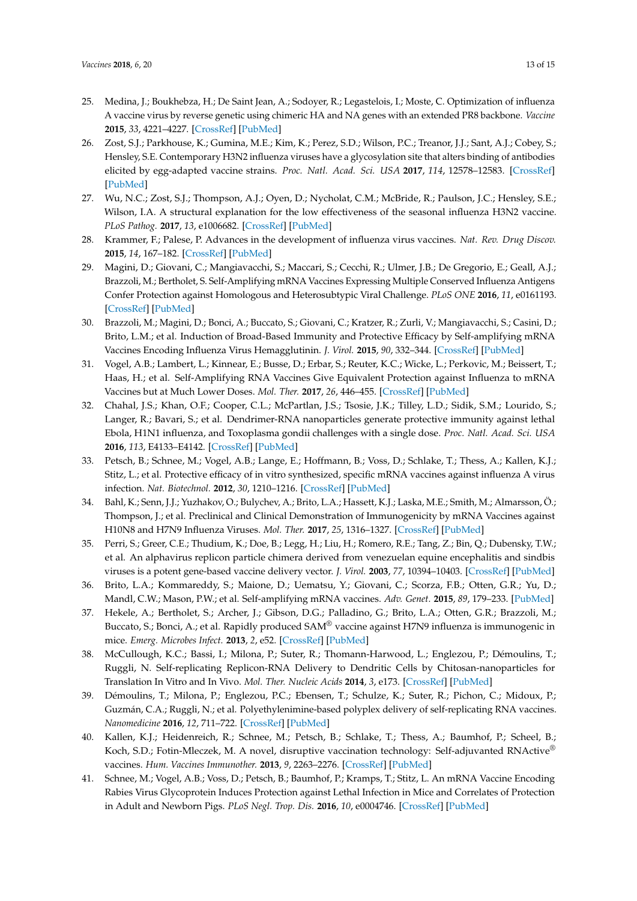- <span id="page-12-0"></span>25. Medina, J.; Boukhebza, H.; De Saint Jean, A.; Sodoyer, R.; Legastelois, I.; Moste, C. Optimization of influenza A vaccine virus by reverse genetic using chimeric HA and NA genes with an extended PR8 backbone. *Vaccine* **2015**, *33*, 4221–4227. [\[CrossRef\]](http://dx.doi.org/10.1016/j.vaccine.2015.06.112) [\[PubMed\]](http://www.ncbi.nlm.nih.gov/pubmed/26206270)
- <span id="page-12-16"></span>26. Zost, S.J.; Parkhouse, K.; Gumina, M.E.; Kim, K.; Perez, S.D.; Wilson, P.C.; Treanor, J.J.; Sant, A.J.; Cobey, S.; Hensley, S.E. Contemporary H3N2 influenza viruses have a glycosylation site that alters binding of antibodies elicited by egg-adapted vaccine strains. *Proc. Natl. Acad. Sci. USA* **2017**, *114*, 12578–12583. [\[CrossRef\]](http://dx.doi.org/10.1073/pnas.1712377114) [\[PubMed\]](http://www.ncbi.nlm.nih.gov/pubmed/29109276)
- <span id="page-12-1"></span>27. Wu, N.C.; Zost, S.J.; Thompson, A.J.; Oyen, D.; Nycholat, C.M.; McBride, R.; Paulson, J.C.; Hensley, S.E.; Wilson, I.A. A structural explanation for the low effectiveness of the seasonal influenza H3N2 vaccine. *PLoS Pathog.* **2017**, *13*, e1006682. [\[CrossRef\]](http://dx.doi.org/10.1371/journal.ppat.1006682) [\[PubMed\]](http://www.ncbi.nlm.nih.gov/pubmed/29059230)
- <span id="page-12-2"></span>28. Krammer, F.; Palese, P. Advances in the development of influenza virus vaccines. *Nat. Rev. Drug Discov.* **2015**, *14*, 167–182. [\[CrossRef\]](http://dx.doi.org/10.1038/nrd4529) [\[PubMed\]](http://www.ncbi.nlm.nih.gov/pubmed/25722244)
- <span id="page-12-3"></span>29. Magini, D.; Giovani, C.; Mangiavacchi, S.; Maccari, S.; Cecchi, R.; Ulmer, J.B.; De Gregorio, E.; Geall, A.J.; Brazzoli, M.; Bertholet, S. Self-Amplifying mRNA Vaccines Expressing Multiple Conserved Influenza Antigens Confer Protection against Homologous and Heterosubtypic Viral Challenge. *PLoS ONE* **2016**, *11*, e0161193. [\[CrossRef\]](http://dx.doi.org/10.1371/journal.pone.0161193) [\[PubMed\]](http://www.ncbi.nlm.nih.gov/pubmed/27525409)
- <span id="page-12-4"></span>30. Brazzoli, M.; Magini, D.; Bonci, A.; Buccato, S.; Giovani, C.; Kratzer, R.; Zurli, V.; Mangiavacchi, S.; Casini, D.; Brito, L.M.; et al. Induction of Broad-Based Immunity and Protective Efficacy by Self-amplifying mRNA Vaccines Encoding Influenza Virus Hemagglutinin. *J. Virol.* **2015**, *90*, 332–344. [\[CrossRef\]](http://dx.doi.org/10.1128/JVI.01786-15) [\[PubMed\]](http://www.ncbi.nlm.nih.gov/pubmed/26468547)
- <span id="page-12-5"></span>31. Vogel, A.B.; Lambert, L.; Kinnear, E.; Busse, D.; Erbar, S.; Reuter, K.C.; Wicke, L.; Perkovic, M.; Beissert, T.; Haas, H.; et al. Self-Amplifying RNA Vaccines Give Equivalent Protection against Influenza to mRNA Vaccines but at Much Lower Doses. *Mol. Ther.* **2017**, *26*, 446–455. [\[CrossRef\]](http://dx.doi.org/10.1016/j.ymthe.2017.11.017) [\[PubMed\]](http://www.ncbi.nlm.nih.gov/pubmed/29275847)
- <span id="page-12-6"></span>32. Chahal, J.S.; Khan, O.F.; Cooper, C.L.; McPartlan, J.S.; Tsosie, J.K.; Tilley, L.D.; Sidik, S.M.; Lourido, S.; Langer, R.; Bavari, S.; et al. Dendrimer-RNA nanoparticles generate protective immunity against lethal Ebola, H1N1 influenza, and Toxoplasma gondii challenges with a single dose. *Proc. Natl. Acad. Sci. USA* **2016**, *113*, E4133–E4142. [\[CrossRef\]](http://dx.doi.org/10.1073/pnas.1600299113) [\[PubMed\]](http://www.ncbi.nlm.nih.gov/pubmed/27382155)
- <span id="page-12-7"></span>33. Petsch, B.; Schnee, M.; Vogel, A.B.; Lange, E.; Hoffmann, B.; Voss, D.; Schlake, T.; Thess, A.; Kallen, K.J.; Stitz, L.; et al. Protective efficacy of in vitro synthesized, specific mRNA vaccines against influenza A virus infection. *Nat. Biotechnol.* **2012**, *30*, 1210–1216. [\[CrossRef\]](http://dx.doi.org/10.1038/nbt.2436) [\[PubMed\]](http://www.ncbi.nlm.nih.gov/pubmed/23159882)
- <span id="page-12-8"></span>34. Bahl, K.; Senn, J.J.; Yuzhakov, O.; Bulychev, A.; Brito, L.A.; Hassett, K.J.; Laska, M.E.; Smith, M.; Almarsson, Ö.; Thompson, J.; et al. Preclinical and Clinical Demonstration of Immunogenicity by mRNA Vaccines against H10N8 and H7N9 Influenza Viruses. *Mol. Ther.* **2017**, *25*, 1316–1327. [\[CrossRef\]](http://dx.doi.org/10.1016/j.ymthe.2017.03.035) [\[PubMed\]](http://www.ncbi.nlm.nih.gov/pubmed/28457665)
- <span id="page-12-9"></span>35. Perri, S.; Greer, C.E.; Thudium, K.; Doe, B.; Legg, H.; Liu, H.; Romero, R.E.; Tang, Z.; Bin, Q.; Dubensky, T.W.; et al. An alphavirus replicon particle chimera derived from venezuelan equine encephalitis and sindbis viruses is a potent gene-based vaccine delivery vector. *J. Virol.* **2003**, *77*, 10394–10403. [\[CrossRef\]](http://dx.doi.org/10.1128/JVI.77.19.10394-10403.2003) [\[PubMed\]](http://www.ncbi.nlm.nih.gov/pubmed/12970424)
- <span id="page-12-10"></span>36. Brito, L.A.; Kommareddy, S.; Maione, D.; Uematsu, Y.; Giovani, C.; Scorza, F.B.; Otten, G.R.; Yu, D.; Mandl, C.W.; Mason, P.W.; et al. Self-amplifying mRNA vaccines. *Adv. Genet.* **2015**, *89*, 179–233. [\[PubMed\]](http://www.ncbi.nlm.nih.gov/pubmed/25620012)
- <span id="page-12-11"></span>37. Hekele, A.; Bertholet, S.; Archer, J.; Gibson, D.G.; Palladino, G.; Brito, L.A.; Otten, G.R.; Brazzoli, M.; Buccato, S.; Bonci, A.; et al. Rapidly produced SAM® vaccine against H7N9 influenza is immunogenic in mice. *Emerg. Microbes Infect.* **2013**, *2*, e52. [\[CrossRef\]](http://dx.doi.org/10.1038/emi.2013.54) [\[PubMed\]](http://www.ncbi.nlm.nih.gov/pubmed/26038486)
- <span id="page-12-12"></span>38. McCullough, K.C.; Bassi, I.; Milona, P.; Suter, R.; Thomann-Harwood, L.; Englezou, P.; Démoulins, T.; Ruggli, N. Self-replicating Replicon-RNA Delivery to Dendritic Cells by Chitosan-nanoparticles for Translation In Vitro and In Vivo. *Mol. Ther. Nucleic Acids* **2014**, *3*, e173. [\[CrossRef\]](http://dx.doi.org/10.1038/mtna.2014.24) [\[PubMed\]](http://www.ncbi.nlm.nih.gov/pubmed/25004099)
- <span id="page-12-13"></span>39. Démoulins, T.; Milona, P.; Englezou, P.C.; Ebensen, T.; Schulze, K.; Suter, R.; Pichon, C.; Midoux, P.; Guzmán, C.A.; Ruggli, N.; et al. Polyethylenimine-based polyplex delivery of self-replicating RNA vaccines. *Nanomedicine* **2016**, *12*, 711–722. [\[CrossRef\]](http://dx.doi.org/10.1016/j.nano.2015.11.001) [\[PubMed\]](http://www.ncbi.nlm.nih.gov/pubmed/26592962)
- <span id="page-12-14"></span>40. Kallen, K.J.; Heidenreich, R.; Schnee, M.; Petsch, B.; Schlake, T.; Thess, A.; Baumhof, P.; Scheel, B.; Koch, S.D.; Fotin-Mleczek, M. A novel, disruptive vaccination technology: Self-adjuvanted RNActive® vaccines. *Hum. Vaccines Immunother.* **2013**, *9*, 2263–2276. [\[CrossRef\]](http://dx.doi.org/10.4161/hv.25181) [\[PubMed\]](http://www.ncbi.nlm.nih.gov/pubmed/23921513)
- <span id="page-12-15"></span>41. Schnee, M.; Vogel, A.B.; Voss, D.; Petsch, B.; Baumhof, P.; Kramps, T.; Stitz, L. An mRNA Vaccine Encoding Rabies Virus Glycoprotein Induces Protection against Lethal Infection in Mice and Correlates of Protection in Adult and Newborn Pigs. *PLoS Negl. Trop. Dis.* **2016**, *10*, e0004746. [\[CrossRef\]](http://dx.doi.org/10.1371/journal.pntd.0004746) [\[PubMed\]](http://www.ncbi.nlm.nih.gov/pubmed/27336830)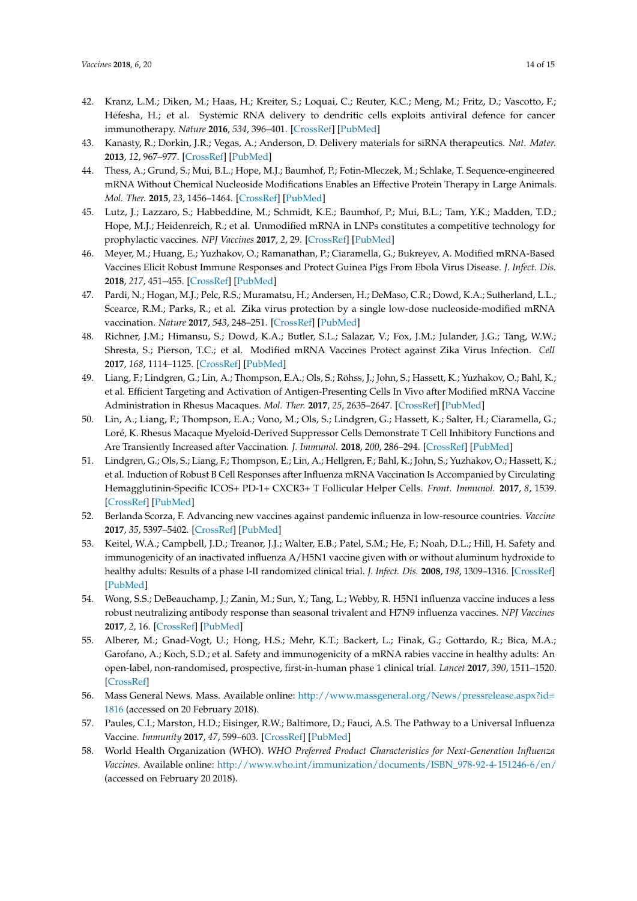- <span id="page-13-0"></span>42. Kranz, L.M.; Diken, M.; Haas, H.; Kreiter, S.; Loquai, C.; Reuter, K.C.; Meng, M.; Fritz, D.; Vascotto, F.; Hefesha, H.; et al. Systemic RNA delivery to dendritic cells exploits antiviral defence for cancer immunotherapy. *Nature* **2016**, *534*, 396–401. [\[CrossRef\]](http://dx.doi.org/10.1038/nature18300) [\[PubMed\]](http://www.ncbi.nlm.nih.gov/pubmed/27281205)
- <span id="page-13-1"></span>43. Kanasty, R.; Dorkin, J.R.; Vegas, A.; Anderson, D. Delivery materials for siRNA therapeutics. *Nat. Mater.* **2013**, *12*, 967–977. [\[CrossRef\]](http://dx.doi.org/10.1038/nmat3765) [\[PubMed\]](http://www.ncbi.nlm.nih.gov/pubmed/24150415)
- <span id="page-13-2"></span>44. Thess, A.; Grund, S.; Mui, B.L.; Hope, M.J.; Baumhof, P.; Fotin-Mleczek, M.; Schlake, T. Sequence-engineered mRNA Without Chemical Nucleoside Modifications Enables an Effective Protein Therapy in Large Animals. *Mol. Ther.* **2015**, *23*, 1456–1464. [\[CrossRef\]](http://dx.doi.org/10.1038/mt.2015.103) [\[PubMed\]](http://www.ncbi.nlm.nih.gov/pubmed/26050989)
- <span id="page-13-3"></span>45. Lutz, J.; Lazzaro, S.; Habbeddine, M.; Schmidt, K.E.; Baumhof, P.; Mui, B.L.; Tam, Y.K.; Madden, T.D.; Hope, M.J.; Heidenreich, R.; et al. Unmodified mRNA in LNPs constitutes a competitive technology for prophylactic vaccines. *NPJ Vaccines* **2017**, *2*, 29. [\[CrossRef\]](http://dx.doi.org/10.1038/s41541-017-0032-6) [\[PubMed\]](http://www.ncbi.nlm.nih.gov/pubmed/29263884)
- <span id="page-13-4"></span>46. Meyer, M.; Huang, E.; Yuzhakov, O.; Ramanathan, P.; Ciaramella, G.; Bukreyev, A. Modified mRNA-Based Vaccines Elicit Robust Immune Responses and Protect Guinea Pigs From Ebola Virus Disease. *J. Infect. Dis.* **2018**, *217*, 451–455. [\[CrossRef\]](http://dx.doi.org/10.1093/infdis/jix592) [\[PubMed\]](http://www.ncbi.nlm.nih.gov/pubmed/29281112)
- 47. Pardi, N.; Hogan, M.J.; Pelc, R.S.; Muramatsu, H.; Andersen, H.; DeMaso, C.R.; Dowd, K.A.; Sutherland, L.L.; Scearce, R.M.; Parks, R.; et al. Zika virus protection by a single low-dose nucleoside-modified mRNA vaccination. *Nature* **2017**, *543*, 248–251. [\[CrossRef\]](http://dx.doi.org/10.1038/nature21428) [\[PubMed\]](http://www.ncbi.nlm.nih.gov/pubmed/28151488)
- <span id="page-13-5"></span>48. Richner, J.M.; Himansu, S.; Dowd, K.A.; Butler, S.L.; Salazar, V.; Fox, J.M.; Julander, J.G.; Tang, W.W.; Shresta, S.; Pierson, T.C.; et al. Modified mRNA Vaccines Protect against Zika Virus Infection. *Cell* **2017**, *168*, 1114–1125. [\[CrossRef\]](http://dx.doi.org/10.1016/j.cell.2017.02.017) [\[PubMed\]](http://www.ncbi.nlm.nih.gov/pubmed/28222903)
- <span id="page-13-6"></span>49. Liang, F.; Lindgren, G.; Lin, A.; Thompson, E.A.; Ols, S.; Röhss, J.; John, S.; Hassett, K.; Yuzhakov, O.; Bahl, K.; et al. Efficient Targeting and Activation of Antigen-Presenting Cells In Vivo after Modified mRNA Vaccine Administration in Rhesus Macaques. *Mol. Ther.* **2017**, *25*, 2635–2647. [\[CrossRef\]](http://dx.doi.org/10.1016/j.ymthe.2017.08.006) [\[PubMed\]](http://www.ncbi.nlm.nih.gov/pubmed/28958578)
- 50. Lin, A.; Liang, F.; Thompson, E.A.; Vono, M.; Ols, S.; Lindgren, G.; Hassett, K.; Salter, H.; Ciaramella, G.; Loré, K. Rhesus Macaque Myeloid-Derived Suppressor Cells Demonstrate T Cell Inhibitory Functions and Are Transiently Increased after Vaccination. *J. Immunol.* **2018**, *200*, 286–294. [\[CrossRef\]](http://dx.doi.org/10.4049/jimmunol.1701005) [\[PubMed\]](http://www.ncbi.nlm.nih.gov/pubmed/29180488)
- <span id="page-13-7"></span>51. Lindgren, G.; Ols, S.; Liang, F.; Thompson, E.; Lin, A.; Hellgren, F.; Bahl, K.; John, S.; Yuzhakov, O.; Hassett, K.; et al. Induction of Robust B Cell Responses after Influenza mRNA Vaccination Is Accompanied by Circulating Hemagglutinin-Specific ICOS+ PD-1+ CXCR3+ T Follicular Helper Cells. *Front. Immunol.* **2017**, *8*, 1539. [\[CrossRef\]](http://dx.doi.org/10.3389/fimmu.2017.01539) [\[PubMed\]](http://www.ncbi.nlm.nih.gov/pubmed/29181005)
- <span id="page-13-8"></span>52. Berlanda Scorza, F. Advancing new vaccines against pandemic influenza in low-resource countries. *Vaccine* **2017**, *35*, 5397–5402. [\[CrossRef\]](http://dx.doi.org/10.1016/j.vaccine.2017.03.094) [\[PubMed\]](http://www.ncbi.nlm.nih.gov/pubmed/28410815)
- 53. Keitel, W.A.; Campbell, J.D.; Treanor, J.J.; Walter, E.B.; Patel, S.M.; He, F.; Noah, D.L.; Hill, H. Safety and immunogenicity of an inactivated influenza A/H5N1 vaccine given with or without aluminum hydroxide to healthy adults: Results of a phase I-II randomized clinical trial. *J. Infect. Dis.* **2008**, *198*, 1309–1316. [\[CrossRef\]](http://dx.doi.org/10.1086/592172) [\[PubMed\]](http://www.ncbi.nlm.nih.gov/pubmed/18808338)
- <span id="page-13-9"></span>54. Wong, S.S.; DeBeauchamp, J.; Zanin, M.; Sun, Y.; Tang, L.; Webby, R. H5N1 influenza vaccine induces a less robust neutralizing antibody response than seasonal trivalent and H7N9 influenza vaccines. *NPJ Vaccines* **2017**, *2*, 16. [\[CrossRef\]](http://dx.doi.org/10.1038/s41541-017-0017-5) [\[PubMed\]](http://www.ncbi.nlm.nih.gov/pubmed/29263872)
- <span id="page-13-10"></span>55. Alberer, M.; Gnad-Vogt, U.; Hong, H.S.; Mehr, K.T.; Backert, L.; Finak, G.; Gottardo, R.; Bica, M.A.; Garofano, A.; Koch, S.D.; et al. Safety and immunogenicity of a mRNA rabies vaccine in healthy adults: An open-label, non-randomised, prospective, first-in-human phase 1 clinical trial. *Lancet* **2017**, *390*, 1511–1520. [\[CrossRef\]](http://dx.doi.org/10.1016/S0140-6736(17)31665-3)
- <span id="page-13-11"></span>56. Mass General News. Mass. Available online: [http://www.massgeneral.org/News/pressrelease.aspx?id=](http://www.massgeneral.org/News/pressrelease.aspx?id=1816) [1816](http://www.massgeneral.org/News/pressrelease.aspx?id=1816) (accessed on 20 February 2018).
- <span id="page-13-12"></span>57. Paules, C.I.; Marston, H.D.; Eisinger, R.W.; Baltimore, D.; Fauci, A.S. The Pathway to a Universal Influenza Vaccine. *Immunity* **2017**, *47*, 599–603. [\[CrossRef\]](http://dx.doi.org/10.1016/j.immuni.2017.09.007) [\[PubMed\]](http://www.ncbi.nlm.nih.gov/pubmed/29045889)
- <span id="page-13-13"></span>58. World Health Organization (WHO). *WHO Preferred Product Characteristics for Next-Generation Influenza Vaccines*. Available online: [http://www.who.int/immunization/documents/ISBN\\_978-92-4-151246-6/en/](http://www.who.int/immunization/documents/ISBN_978-92-4-151246-6/en/) (accessed on February 20 2018).